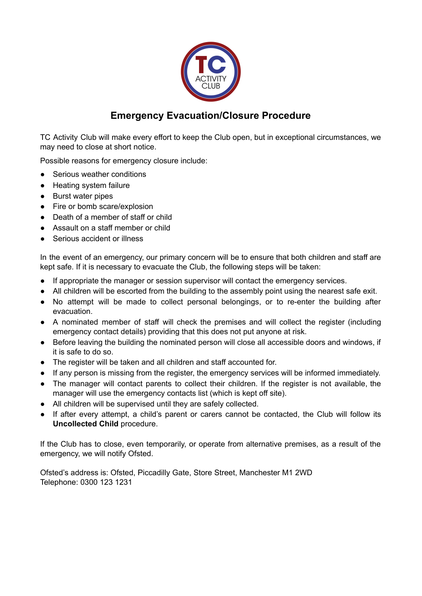

## **Emergency Evacuation/Closure Procedure**

TC Activity Club will make every effort to keep the Club open, but in exceptional circumstances, we may need to close at short notice.

Possible reasons for emergency closure include:

- Serious weather conditions
- Heating system failure
- Burst water pipes
- Fire or bomb scare/explosion
- Death of a member of staff or child
- Assault on a staff member or child
- Serious accident or illness

In the event of an emergency, our primary concern will be to ensure that both children and staff are kept safe. If it is necessary to evacuate the Club, the following steps will be taken:

- If appropriate the manager or session supervisor will contact the emergency services.
- All children will be escorted from the building to the assembly point using the nearest safe exit.
- No attempt will be made to collect personal belongings, or to re-enter the building after evacuation.
- A nominated member of staff will check the premises and will collect the register (including emergency contact details) providing that this does not put anyone at risk.
- Before leaving the building the nominated person will close all accessible doors and windows, if it is safe to do so.
- The register will be taken and all children and staff accounted for.
- If any person is missing from the register, the emergency services will be informed immediately.
- The manager will contact parents to collect their children. If the register is not available, the manager will use the emergency contacts list (which is kept off site).
- All children will be supervised until they are safely collected.
- If after every attempt, a child's parent or carers cannot be contacted, the Club will follow its **Uncollected Child** procedure.

If the Club has to close, even temporarily, or operate from alternative premises, as a result of the emergency, we will notify Ofsted.

Ofsted's address is: Ofsted, Piccadilly Gate, Store Street, Manchester M1 2WD Telephone: 0300 123 1231